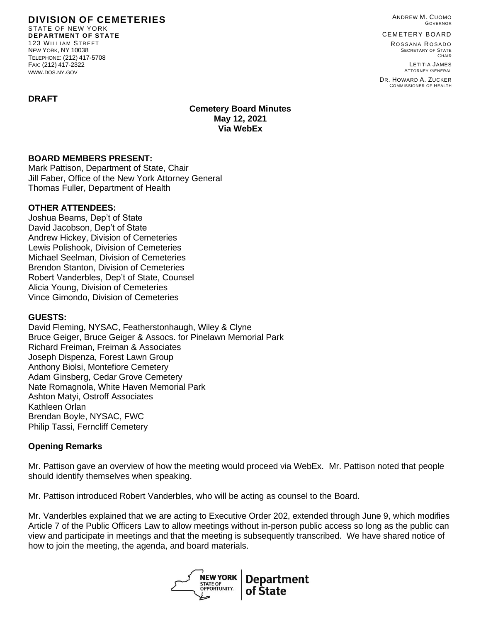ANDREW M. CUOMO GOVERNOR

CEMETERY BOARD

ROSSANA ROSADO SECRETARY OF STATE CHAIR

LETITIA JAMES ATTORNEY GENERAL

DR. HOWARD A. ZUCKER COMMISSIONER OF HEALTH

# **DIVISION OF CEMETERIES** STATE OF NEW YORK

**DEPARTMENT OF STATE** 123 WILLIAM STREET NEW YORK, NY 10038 TELEPHONE: (212) 417-5708 FAX: (212) 417-2322 WWW.DOS.NY.GOV

#### **DRAFT**

**Cemetery Board Minutes May 12, 2021 Via WebEx**

#### **BOARD MEMBERS PRESENT:**

Mark Pattison, Department of State, Chair Jill Faber, Office of the New York Attorney General Thomas Fuller, Department of Health

#### **OTHER ATTENDEES:**

Joshua Beams, Dep't of State David Jacobson, Dep't of State Andrew Hickey, Division of Cemeteries Lewis Polishook, Division of Cemeteries Michael Seelman, Division of Cemeteries Brendon Stanton, Division of Cemeteries Robert Vanderbles, Dep't of State, Counsel Alicia Young, Division of Cemeteries Vince Gimondo, Division of Cemeteries

#### **GUESTS:**

David Fleming, NYSAC, Featherstonhaugh, Wiley & Clyne Bruce Geiger, Bruce Geiger & Assocs. for Pinelawn Memorial Park Richard Freiman, Freiman & Associates Joseph Dispenza, Forest Lawn Group Anthony Biolsi, Montefiore Cemetery Adam Ginsberg, Cedar Grove Cemetery Nate Romagnola, White Haven Memorial Park Ashton Matyi, Ostroff Associates Kathleen Orlan Brendan Boyle, NYSAC, FWC Philip Tassi, Ferncliff Cemetery

### **Opening Remarks**

Mr. Pattison gave an overview of how the meeting would proceed via WebEx. Mr. Pattison noted that people should identify themselves when speaking.

Mr. Pattison introduced Robert Vanderbles, who will be acting as counsel to the Board.

Mr. Vanderbles explained that we are acting to Executive Order 202, extended through June 9, which modifies Article 7 of the Public Officers Law to allow meetings without in-person public access so long as the public can view and participate in meetings and that the meeting is subsequently transcribed. We have shared notice of how to join the meeting, the agenda, and board materials.

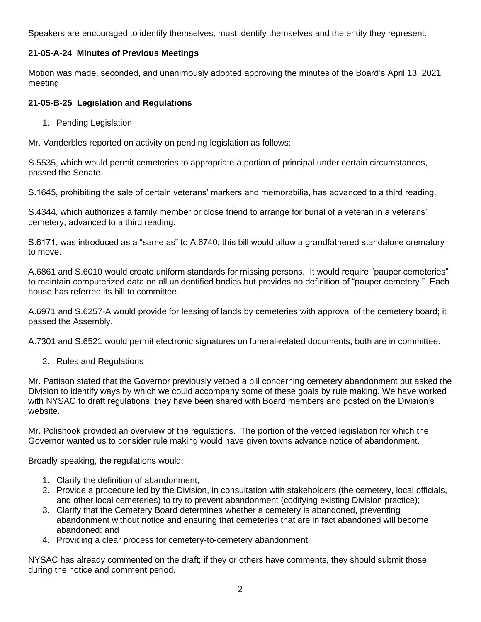Speakers are encouraged to identify themselves; must identify themselves and the entity they represent.

### **21-05-A-24 Minutes of Previous Meetings**

Motion was made, seconded, and unanimously adopted approving the minutes of the Board's April 13, 2021 meeting

#### **21-05-B-25 Legislation and Regulations**

1. Pending Legislation

Mr. Vanderbles reported on activity on pending legislation as follows:

S.5535, which would permit cemeteries to appropriate a portion of principal under certain circumstances, passed the Senate.

S.1645, prohibiting the sale of certain veterans' markers and memorabilia, has advanced to a third reading.

S.4344, which authorizes a family member or close friend to arrange for burial of a veteran in a veterans' cemetery, advanced to a third reading.

S.6171, was introduced as a "same as" to A.6740; this bill would allow a grandfathered standalone crematory to move.

A.6861 and S.6010 would create uniform standards for missing persons. It would require "pauper cemeteries" to maintain computerized data on all unidentified bodies but provides no definition of "pauper cemetery." Each house has referred its bill to committee.

A.6971 and S.6257-A would provide for leasing of lands by cemeteries with approval of the cemetery board; it passed the Assembly.

A.7301 and S.6521 would permit electronic signatures on funeral-related documents; both are in committee.

2. Rules and Regulations

Mr. Pattison stated that the Governor previously vetoed a bill concerning cemetery abandonment but asked the Division to identify ways by which we could accompany some of these goals by rule making. We have worked with NYSAC to draft regulations; they have been shared with Board members and posted on the Division's website.

Mr. Polishook provided an overview of the regulations. The portion of the vetoed legislation for which the Governor wanted us to consider rule making would have given towns advance notice of abandonment.

Broadly speaking, the regulations would:

- 1. Clarify the definition of abandonment;
- 2. Provide a procedure led by the Division, in consultation with stakeholders (the cemetery, local officials, and other local cemeteries) to try to prevent abandonment (codifying existing Division practice);
- 3. Clarify that the Cemetery Board determines whether a cemetery is abandoned, preventing abandonment without notice and ensuring that cemeteries that are in fact abandoned will become abandoned; and
- 4. Providing a clear process for cemetery-to-cemetery abandonment.

NYSAC has already commented on the draft; if they or others have comments, they should submit those during the notice and comment period.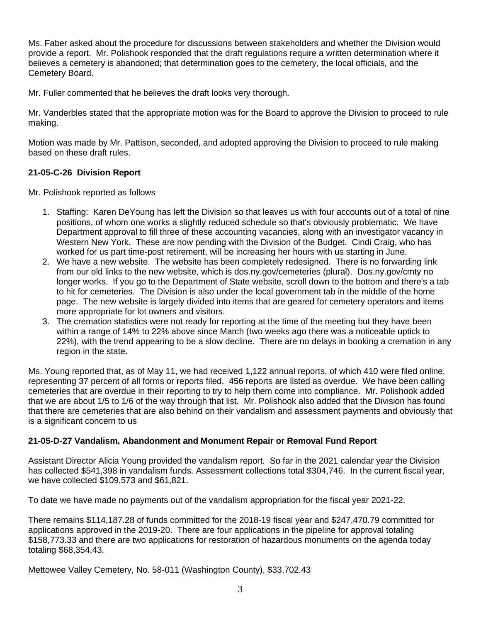Ms. Faber asked about the procedure for discussions between stakeholders and whether the Division would provide a report. Mr. Polishook responded that the draft regulations require a written determination where it believes a cemetery is abandoned; that determination goes to the cemetery, the local officials, and the Cemetery Board.

Mr. Fuller commented that he believes the draft looks very thorough.

Mr. Vanderbles stated that the appropriate motion was for the Board to approve the Division to proceed to rule making.

Motion was made by Mr. Pattison, seconded, and adopted approving the Division to proceed to rule making based on these draft rules.

## **21-05-C-26 Division Report**

Mr. Polishook reported as follows

- 1. Staffing: Karen DeYoung has left the Division so that leaves us with four accounts out of a total of nine positions, of whom one works a slightly reduced schedule so that's obviously problematic. We have Department approval to fill three of these accounting vacancies, along with an investigator vacancy in Western New York. These are now pending with the Division of the Budget. Cindi Craig, who has worked for us part time-post retirement, will be increasing her hours with us starting in June.
- 2. We have a new website. The website has been completely redesigned. There is no forwarding link from our old links to the new website, which is dos.ny.gov/cemeteries (plural). Dos.ny.gov/cmty no longer works. If you go to the Department of State website, scroll down to the bottom and there's a tab to hit for cemeteries. The Division is also under the local government tab in the middle of the home page. The new website is largely divided into items that are geared for cemetery operators and items more appropriate for lot owners and visitors.
- 3. The cremation statistics were not ready for reporting at the time of the meeting but they have been within a range of 14% to 22% above since March (two weeks ago there was a noticeable uptick to 22%), with the trend appearing to be a slow decline. There are no delays in booking a cremation in any region in the state.

Ms. Young reported that, as of May 11, we had received 1,122 annual reports, of which 410 were filed online, representing 37 percent of all forms or reports filed. 456 reports are listed as overdue. We have been calling cemeteries that are overdue in their reporting to try to help them come into compliance. Mr. Polishook added that we are about 1/5 to 1/6 of the way through that list. Mr. Polishook also added that the Division has found that there are cemeteries that are also behind on their vandalism and assessment payments and obviously that is a significant concern to us

# **21-05-D-27 Vandalism, Abandonment and Monument Repair or Removal Fund Report**

Assistant Director Alicia Young provided the vandalism report. So far in the 2021 calendar year the Division has collected \$541,398 in vandalism funds. Assessment collections total \$304,746. In the current fiscal year, we have collected \$109,573 and \$61,821.

To date we have made no payments out of the vandalism appropriation for the fiscal year 2021-22.

There remains \$114,187.28 of funds committed for the 2018-19 fiscal year and \$247,470.79 committed for applications approved in the 2019-20. There are four applications in the pipeline for approval totaling \$158,773.33 and there are two applications for restoration of hazardous monuments on the agenda today totaling \$68,354.43.

### Mettowee Valley Cemetery, No. 58-011 (Washington County), \$33,702.43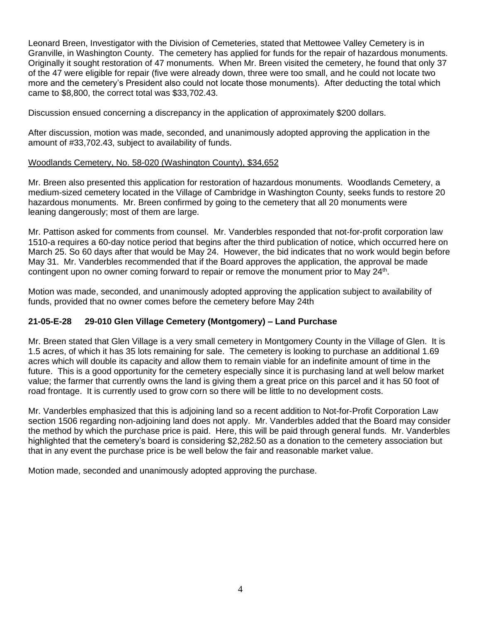Leonard Breen, Investigator with the Division of Cemeteries, stated that Mettowee Valley Cemetery is in Granville, in Washington County. The cemetery has applied for funds for the repair of hazardous monuments. Originally it sought restoration of 47 monuments. When Mr. Breen visited the cemetery, he found that only 37 of the 47 were eligible for repair (five were already down, three were too small, and he could not locate two more and the cemetery's President also could not locate those monuments). After deducting the total which came to \$8,800, the correct total was \$33,702.43.

Discussion ensued concerning a discrepancy in the application of approximately \$200 dollars.

After discussion, motion was made, seconded, and unanimously adopted approving the application in the amount of #33,702.43, subject to availability of funds.

#### Woodlands Cemetery, No. 58-020 (Washington County), \$34,652

Mr. Breen also presented this application for restoration of hazardous monuments. Woodlands Cemetery, a medium-sized cemetery located in the Village of Cambridge in Washington County, seeks funds to restore 20 hazardous monuments. Mr. Breen confirmed by going to the cemetery that all 20 monuments were leaning dangerously; most of them are large.

Mr. Pattison asked for comments from counsel. Mr. Vanderbles responded that not-for-profit corporation law 1510-a requires a 60-day notice period that begins after the third publication of notice, which occurred here on March 25. So 60 days after that would be May 24. However, the bid indicates that no work would begin before May 31. Mr. Vanderbles recommended that if the Board approves the application, the approval be made contingent upon no owner coming forward to repair or remove the monument prior to May 24<sup>th</sup>.

Motion was made, seconded, and unanimously adopted approving the application subject to availability of funds, provided that no owner comes before the cemetery before May 24th

### **21-05-E-28 29-010 Glen Village Cemetery (Montgomery) – Land Purchase**

Mr. Breen stated that Glen Village is a very small cemetery in Montgomery County in the Village of Glen. It is 1.5 acres, of which it has 35 lots remaining for sale. The cemetery is looking to purchase an additional 1.69 acres which will double its capacity and allow them to remain viable for an indefinite amount of time in the future. This is a good opportunity for the cemetery especially since it is purchasing land at well below market value; the farmer that currently owns the land is giving them a great price on this parcel and it has 50 foot of road frontage. It is currently used to grow corn so there will be little to no development costs.

Mr. Vanderbles emphasized that this is adjoining land so a recent addition to Not-for-Profit Corporation Law section 1506 regarding non-adjoining land does not apply. Mr. Vanderbles added that the Board may consider the method by which the purchase price is paid. Here, this will be paid through general funds. Mr. Vanderbles highlighted that the cemetery's board is considering \$2,282.50 as a donation to the cemetery association but that in any event the purchase price is be well below the fair and reasonable market value.

Motion made, seconded and unanimously adopted approving the purchase.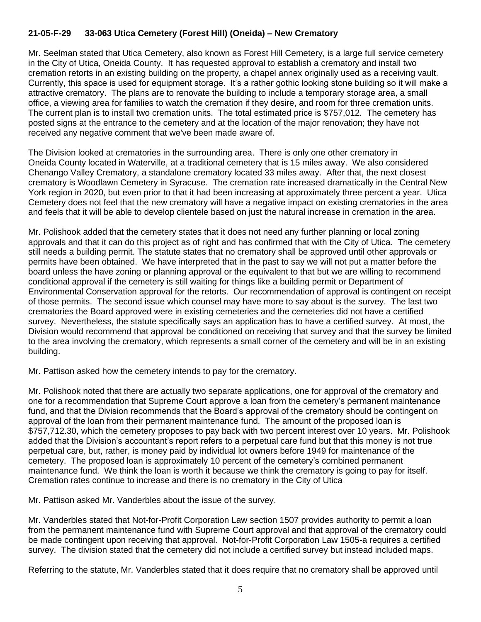#### **21-05-F-29 33-063 Utica Cemetery (Forest Hill) (Oneida) – New Crematory**

Mr. Seelman stated that Utica Cemetery, also known as Forest Hill Cemetery, is a large full service cemetery in the City of Utica, Oneida County. It has requested approval to establish a crematory and install two cremation retorts in an existing building on the property, a chapel annex originally used as a receiving vault. Currently, this space is used for equipment storage. It's a rather gothic looking stone building so it will make a attractive crematory. The plans are to renovate the building to include a temporary storage area, a small office, a viewing area for families to watch the cremation if they desire, and room for three cremation units. The current plan is to install two cremation units. The total estimated price is \$757,012. The cemetery has posted signs at the entrance to the cemetery and at the location of the major renovation; they have not received any negative comment that we've been made aware of.

The Division looked at crematories in the surrounding area. There is only one other crematory in Oneida County located in Waterville, at a traditional cemetery that is 15 miles away. We also considered Chenango Valley Crematory, a standalone crematory located 33 miles away. After that, the next closest crematory is Woodlawn Cemetery in Syracuse. The cremation rate increased dramatically in the Central New York region in 2020, but even prior to that it had been increasing at approximately three percent a year. Utica Cemetery does not feel that the new crematory will have a negative impact on existing crematories in the area and feels that it will be able to develop clientele based on just the natural increase in cremation in the area.

Mr. Polishook added that the cemetery states that it does not need any further planning or local zoning approvals and that it can do this project as of right and has confirmed that with the City of Utica. The cemetery still needs a building permit. The statute states that no crematory shall be approved until other approvals or permits have been obtained. We have interpreted that in the past to say we will not put a matter before the board unless the have zoning or planning approval or the equivalent to that but we are willing to recommend conditional approval if the cemetery is still waiting for things like a building permit or Department of Environmental Conservation approval for the retorts. Our recommendation of approval is contingent on receipt of those permits. The second issue which counsel may have more to say about is the survey. The last two crematories the Board approved were in existing cemeteries and the cemeteries did not have a certified survey. Nevertheless, the statute specifically says an application has to have a certified survey. At most, the Division would recommend that approval be conditioned on receiving that survey and that the survey be limited to the area involving the crematory, which represents a small corner of the cemetery and will be in an existing building.

Mr. Pattison asked how the cemetery intends to pay for the crematory.

Mr. Polishook noted that there are actually two separate applications, one for approval of the crematory and one for a recommendation that Supreme Court approve a loan from the cemetery's permanent maintenance fund, and that the Division recommends that the Board's approval of the crematory should be contingent on approval of the loan from their permanent maintenance fund. The amount of the proposed loan is \$757,712.30, which the cemetery proposes to pay back with two percent interest over 10 years. Mr. Polishook added that the Division's accountant's report refers to a perpetual care fund but that this money is not true perpetual care, but, rather, is money paid by individual lot owners before 1949 for maintenance of the cemetery. The proposed loan is approximately 10 percent of the cemetery's combined permanent maintenance fund. We think the loan is worth it because we think the crematory is going to pay for itself. Cremation rates continue to increase and there is no crematory in the City of Utica

Mr. Pattison asked Mr. Vanderbles about the issue of the survey.

Mr. Vanderbles stated that Not-for-Profit Corporation Law section 1507 provides authority to permit a loan from the permanent maintenance fund with Supreme Court approval and that approval of the crematory could be made contingent upon receiving that approval. Not-for-Profit Corporation Law 1505-a requires a certified survey. The division stated that the cemetery did not include a certified survey but instead included maps.

Referring to the statute, Mr. Vanderbles stated that it does require that no crematory shall be approved until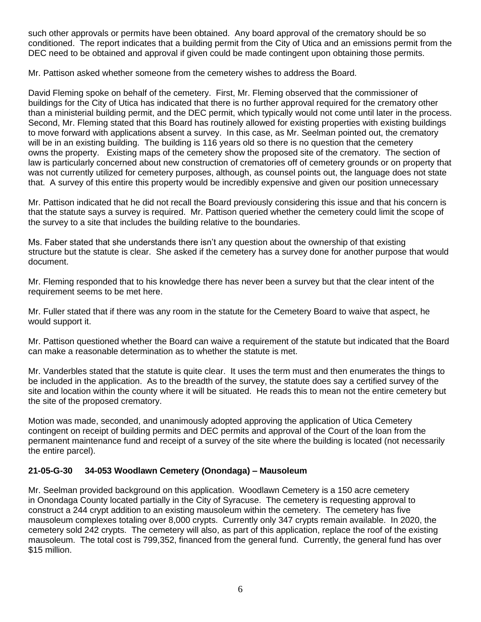such other approvals or permits have been obtained. Any board approval of the crematory should be so conditioned. The report indicates that a building permit from the City of Utica and an emissions permit from the DEC need to be obtained and approval if given could be made contingent upon obtaining those permits.

Mr. Pattison asked whether someone from the cemetery wishes to address the Board.

David Fleming spoke on behalf of the cemetery. First, Mr. Fleming observed that the commissioner of buildings for the City of Utica has indicated that there is no further approval required for the crematory other than a ministerial building permit, and the DEC permit, which typically would not come until later in the process. Second, Mr. Fleming stated that this Board has routinely allowed for existing properties with existing buildings to move forward with applications absent a survey. In this case, as Mr. Seelman pointed out, the crematory will be in an existing building. The building is 116 years old so there is no question that the cemetery owns the property. Existing maps of the cemetery show the proposed site of the crematory. The section of law is particularly concerned about new construction of crematories off of cemetery grounds or on property that was not currently utilized for cemetery purposes, although, as counsel points out, the language does not state that. A survey of this entire this property would be incredibly expensive and given our position unnecessary

Mr. Pattison indicated that he did not recall the Board previously considering this issue and that his concern is that the statute says a survey is required. Mr. Pattison queried whether the cemetery could limit the scope of the survey to a site that includes the building relative to the boundaries.

Ms. Faber stated that she understands there isn't any question about the ownership of that existing structure but the statute is clear. She asked if the cemetery has a survey done for another purpose that would document.

Mr. Fleming responded that to his knowledge there has never been a survey but that the clear intent of the requirement seems to be met here.

Mr. Fuller stated that if there was any room in the statute for the Cemetery Board to waive that aspect, he would support it.

Mr. Pattison questioned whether the Board can waive a requirement of the statute but indicated that the Board can make a reasonable determination as to whether the statute is met.

Mr. Vanderbles stated that the statute is quite clear. It uses the term must and then enumerates the things to be included in the application. As to the breadth of the survey, the statute does say a certified survey of the site and location within the county where it will be situated. He reads this to mean not the entire cemetery but the site of the proposed crematory.

Motion was made, seconded, and unanimously adopted approving the application of Utica Cemetery contingent on receipt of building permits and DEC permits and approval of the Court of the loan from the permanent maintenance fund and receipt of a survey of the site where the building is located (not necessarily the entire parcel).

### **21-05-G-30 34-053 Woodlawn Cemetery (Onondaga) – Mausoleum**

Mr. Seelman provided background on this application. Woodlawn Cemetery is a 150 acre cemetery in Onondaga County located partially in the City of Syracuse. The cemetery is requesting approval to construct a 244 crypt addition to an existing mausoleum within the cemetery. The cemetery has five mausoleum complexes totaling over 8,000 crypts. Currently only 347 crypts remain available. In 2020, the cemetery sold 242 crypts. The cemetery will also, as part of this application, replace the roof of the existing mausoleum. The total cost is 799,352, financed from the general fund. Currently, the general fund has over \$15 million.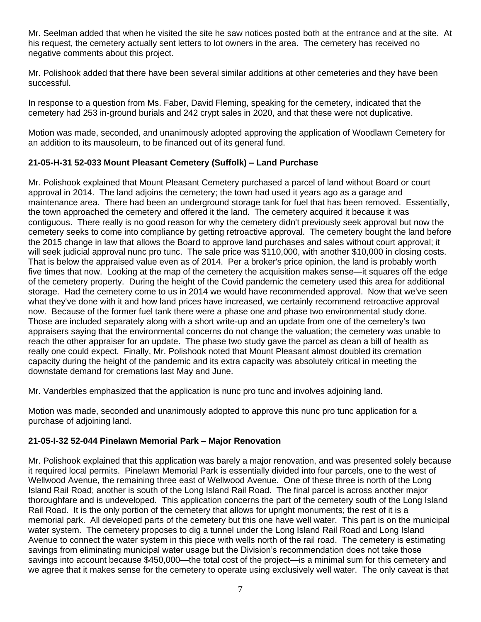Mr. Seelman added that when he visited the site he saw notices posted both at the entrance and at the site. At his request, the cemetery actually sent letters to lot owners in the area. The cemetery has received no negative comments about this project.

Mr. Polishook added that there have been several similar additions at other cemeteries and they have been successful.

In response to a question from Ms. Faber, David Fleming, speaking for the cemetery, indicated that the cemetery had 253 in-ground burials and 242 crypt sales in 2020, and that these were not duplicative.

Motion was made, seconded, and unanimously adopted approving the application of Woodlawn Cemetery for an addition to its mausoleum, to be financed out of its general fund.

### **21-05-H-31 52-033 Mount Pleasant Cemetery (Suffolk) – Land Purchase**

Mr. Polishook explained that Mount Pleasant Cemetery purchased a parcel of land without Board or court approval in 2014. The land adjoins the cemetery; the town had used it years ago as a garage and maintenance area. There had been an underground storage tank for fuel that has been removed. Essentially, the town approached the cemetery and offered it the land. The cemetery acquired it because it was contiguous. There really is no good reason for why the cemetery didn't previously seek approval but now the cemetery seeks to come into compliance by getting retroactive approval. The cemetery bought the land before the 2015 change in law that allows the Board to approve land purchases and sales without court approval; it will seek judicial approval nunc pro tunc. The sale price was \$110,000, with another \$10,000 in closing costs. That is below the appraised value even as of 2014. Per a broker's price opinion, the land is probably worth five times that now. Looking at the map of the cemetery the acquisition makes sense—it squares off the edge of the cemetery property. During the height of the Covid pandemic the cemetery used this area for additional storage. Had the cemetery come to us in 2014 we would have recommended approval. Now that we've seen what they've done with it and how land prices have increased, we certainly recommend retroactive approval now. Because of the former fuel tank there were a phase one and phase two environmental study done. Those are included separately along with a short write-up and an update from one of the cemetery's two appraisers saying that the environmental concerns do not change the valuation; the cemetery was unable to reach the other appraiser for an update. The phase two study gave the parcel as clean a bill of health as really one could expect. Finally, Mr. Polishook noted that Mount Pleasant almost doubled its cremation capacity during the height of the pandemic and its extra capacity was absolutely critical in meeting the downstate demand for cremations last May and June.

Mr. Vanderbles emphasized that the application is nunc pro tunc and involves adjoining land.

Motion was made, seconded and unanimously adopted to approve this nunc pro tunc application for a purchase of adjoining land.

### **21-05-I-32 52-044 Pinelawn Memorial Park – Major Renovation**

Mr. Polishook explained that this application was barely a major renovation, and was presented solely because it required local permits. Pinelawn Memorial Park is essentially divided into four parcels, one to the west of Wellwood Avenue, the remaining three east of Wellwood Avenue. One of these three is north of the Long Island Rail Road; another is south of the Long Island Rail Road. The final parcel is across another major thoroughfare and is undeveloped. This application concerns the part of the cemetery south of the Long Island Rail Road. It is the only portion of the cemetery that allows for upright monuments; the rest of it is a memorial park. All developed parts of the cemetery but this one have well water. This part is on the municipal water system. The cemetery proposes to dig a tunnel under the Long Island Rail Road and Long Island Avenue to connect the water system in this piece with wells north of the rail road. The cemetery is estimating savings from eliminating municipal water usage but the Division's recommendation does not take those savings into account because \$450,000—the total cost of the project—is a minimal sum for this cemetery and we agree that it makes sense for the cemetery to operate using exclusively well water. The only caveat is that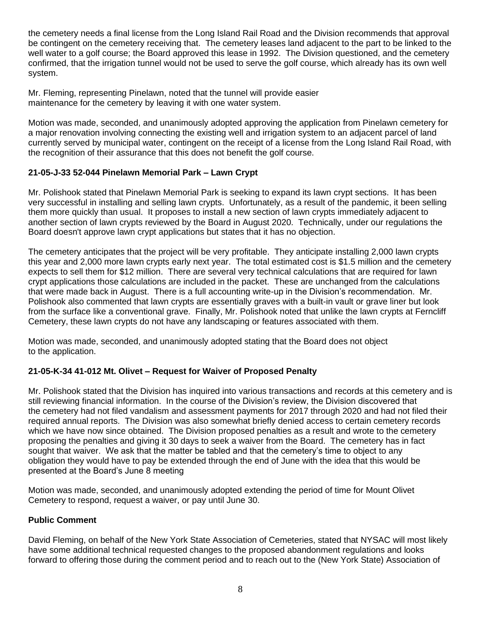the cemetery needs a final license from the Long Island Rail Road and the Division recommends that approval be contingent on the cemetery receiving that. The cemetery leases land adjacent to the part to be linked to the well water to a golf course; the Board approved this lease in 1992. The Division questioned, and the cemetery confirmed, that the irrigation tunnel would not be used to serve the golf course, which already has its own well system.

Mr. Fleming, representing Pinelawn, noted that the tunnel will provide easier maintenance for the cemetery by leaving it with one water system.

Motion was made, seconded, and unanimously adopted approving the application from Pinelawn cemetery for a major renovation involving connecting the existing well and irrigation system to an adjacent parcel of land currently served by municipal water, contingent on the receipt of a license from the Long Island Rail Road, with the recognition of their assurance that this does not benefit the golf course.

#### **21-05-J-33 52-044 Pinelawn Memorial Park – Lawn Crypt**

Mr. Polishook stated that Pinelawn Memorial Park is seeking to expand its lawn crypt sections. It has been very successful in installing and selling lawn crypts. Unfortunately, as a result of the pandemic, it been selling them more quickly than usual. It proposes to install a new section of lawn crypts immediately adjacent to another section of lawn crypts reviewed by the Board in August 2020. Technically, under our regulations the Board doesn't approve lawn crypt applications but states that it has no objection.

The cemetery anticipates that the project will be very profitable. They anticipate installing 2,000 lawn crypts this year and 2,000 more lawn crypts early next year. The total estimated cost is \$1.5 million and the cemetery expects to sell them for \$12 million. There are several very technical calculations that are required for lawn crypt applications those calculations are included in the packet. These are unchanged from the calculations that were made back in August. There is a full accounting write-up in the Division's recommendation. Mr. Polishook also commented that lawn crypts are essentially graves with a built-in vault or grave liner but look from the surface like a conventional grave. Finally, Mr. Polishook noted that unlike the lawn crypts at Ferncliff Cemetery, these lawn crypts do not have any landscaping or features associated with them.

Motion was made, seconded, and unanimously adopted stating that the Board does not object to the application.

### **21-05-K-34 41-012 Mt. Olivet – Request for Waiver of Proposed Penalty**

Mr. Polishook stated that the Division has inquired into various transactions and records at this cemetery and is still reviewing financial information. In the course of the Division's review, the Division discovered that the cemetery had not filed vandalism and assessment payments for 2017 through 2020 and had not filed their required annual reports. The Division was also somewhat briefly denied access to certain cemetery records which we have now since obtained. The Division proposed penalties as a result and wrote to the cemetery proposing the penalties and giving it 30 days to seek a waiver from the Board. The cemetery has in fact sought that waiver. We ask that the matter be tabled and that the cemetery's time to object to any obligation they would have to pay be extended through the end of June with the idea that this would be presented at the Board's June 8 meeting

Motion was made, seconded, and unanimously adopted extending the period of time for Mount Olivet Cemetery to respond, request a waiver, or pay until June 30.

#### **Public Comment**

David Fleming, on behalf of the New York State Association of Cemeteries, stated that NYSAC will most likely have some additional technical requested changes to the proposed abandonment regulations and looks forward to offering those during the comment period and to reach out to the (New York State) Association of